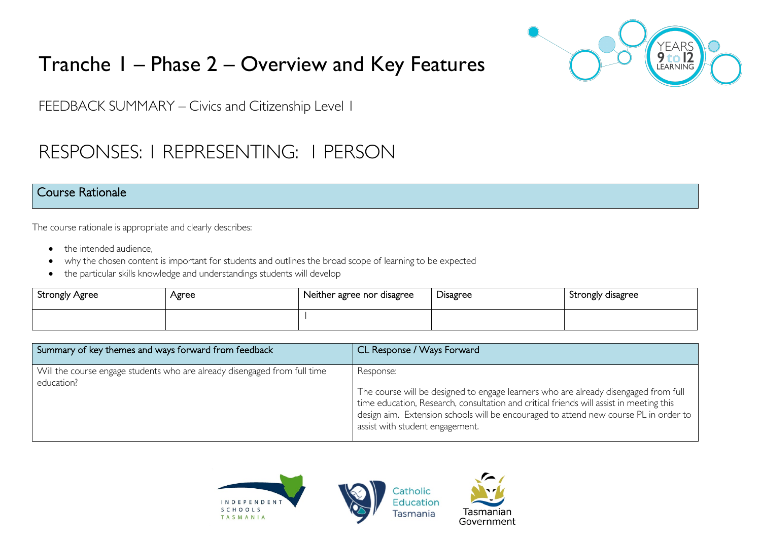# Tranche 1 – Phase 2 – Overview and Key Features



FEEDBACK SUMMARY – Civics and Citizenship Level 1

# RESPONSES: 1 REPRESENTING: 1 PERSON

### Course Rationale

The course rationale is appropriate and clearly describes:

- the intended audience.
- why the chosen content is important for students and outlines the broad scope of learning to be expected
- the particular skills knowledge and understandings students will develop

| Strongly Agree | Agree | Neither agree nor disagree | Disagree | Strongly disagree |
|----------------|-------|----------------------------|----------|-------------------|
|                |       |                            |          |                   |

| Summary of key themes and ways forward from feedback                                    | CL Response / Ways Forward                                                                                                                                                                                                                                                                                             |
|-----------------------------------------------------------------------------------------|------------------------------------------------------------------------------------------------------------------------------------------------------------------------------------------------------------------------------------------------------------------------------------------------------------------------|
| Will the course engage students who are already disengaged from full time<br>education? | Response:<br>The course will be designed to engage learners who are already disengaged from full<br>time education, Research, consultation and critical friends will assist in meeting this<br>design aim. Extension schools will be encouraged to attend new course PL in order to<br>assist with student engagement. |

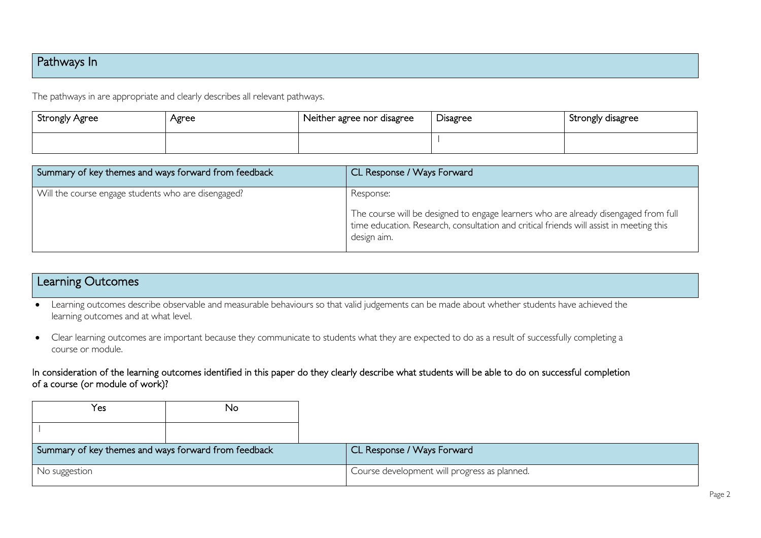## Pathways In

The pathways in are appropriate and clearly describes all relevant pathways.

| Strongly Agree | Agree | Neither agree nor disagree | <b>Disagree</b> | Strongly disagree |
|----------------|-------|----------------------------|-----------------|-------------------|
|                |       |                            |                 |                   |

| Summary of key themes and ways forward from feedback | CL Response / Ways Forward                                                                                                                                                                                 |
|------------------------------------------------------|------------------------------------------------------------------------------------------------------------------------------------------------------------------------------------------------------------|
| Will the course engage students who are disengaged?  | Response:<br>The course will be designed to engage learners who are already disengaged from full<br>time education. Research, consultation and critical friends will assist in meeting this<br>design aim. |

### Learning Outcomes

- Learning outcomes describe observable and measurable behaviours so that valid judgements can be made about whether students have achieved the learning outcomes and at what level.
- Clear learning outcomes are important because they communicate to students what they are expected to do as a result of successfully completing a course or module.

In consideration of the learning outcomes identified in this paper do they clearly describe what students will be able to do on successful completion of a course (or module of work)?

| Yes                                                  | No |                                              |
|------------------------------------------------------|----|----------------------------------------------|
|                                                      |    |                                              |
|                                                      |    |                                              |
| Summary of key themes and ways forward from feedback |    | CL Response / Ways Forward                   |
| No suggestion                                        |    | Course development will progress as planned. |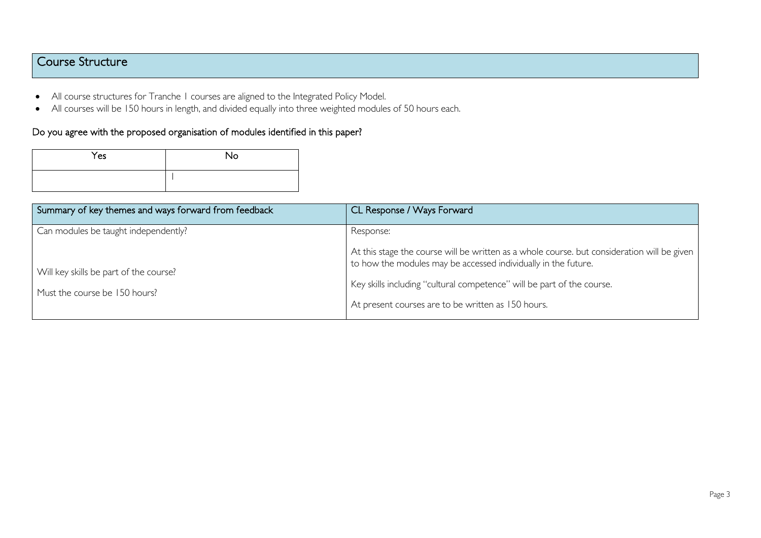## Course Structure

- All course structures for Tranche 1 courses are aligned to the Integrated Policy Model.
- All courses will be 150 hours in length, and divided equally into three weighted modules of 50 hours each.

#### Do you agree with the proposed organisation of modules identified in this paper?

| Yes | <b>No</b> |
|-----|-----------|
|     |           |

| Summary of key themes and ways forward from feedback | CL Response / Ways Forward                                                                                                                                    |
|------------------------------------------------------|---------------------------------------------------------------------------------------------------------------------------------------------------------------|
| Can modules be taught independently?                 | Response:                                                                                                                                                     |
| Will key skills be part of the course?               | At this stage the course will be written as a whole course, but consideration will be given<br>to how the modules may be accessed individually in the future. |
| Must the course be 150 hours?                        | Key skills including "cultural competence" will be part of the course.                                                                                        |
|                                                      | At present courses are to be written as 150 hours.                                                                                                            |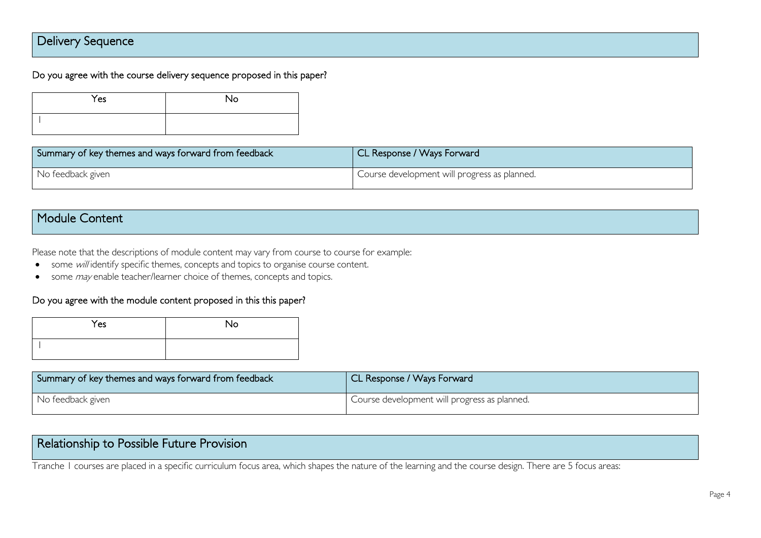## Delivery Sequence

Do you agree with the course delivery sequence proposed in this paper?

| Yes | <b>No</b> |
|-----|-----------|
|     |           |

| Summary of key themes and ways forward from feedback | CL Response / Ways Forward                   |
|------------------------------------------------------|----------------------------------------------|
| No feedback given                                    | Course development will progress as planned. |

# Module Content

Please note that the descriptions of module content may vary from course to course for example:

- some will identify specific themes, concepts and topics to organise course content.
- some *may* enable teacher/learner choice of themes, concepts and topics.

#### Do you agree with the module content proposed in this this paper?

| Yes | No |
|-----|----|
|     |    |

| Summary of key themes and ways forward from feedback | CL Response / Ways Forward                   |
|------------------------------------------------------|----------------------------------------------|
| No feedback given                                    | Course development will progress as planned. |

# Relationship to Possible Future Provision

Tranche 1 courses are placed in a specific curriculum focus area, which shapes the nature of the learning and the course design. There are 5 focus areas: